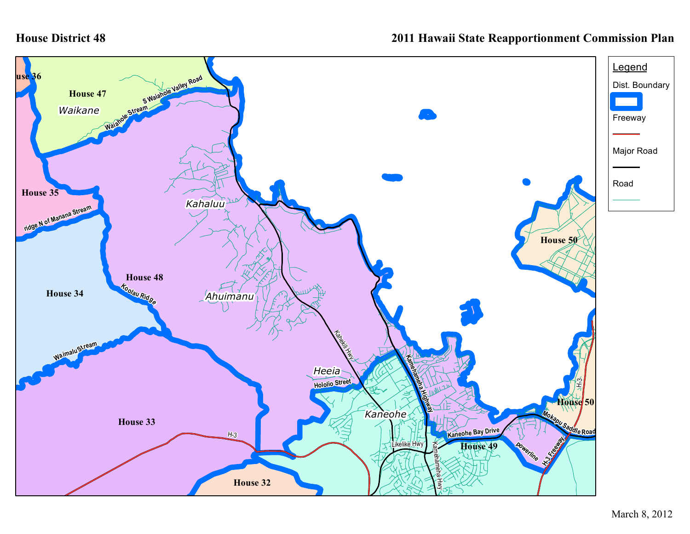## **House District 48**